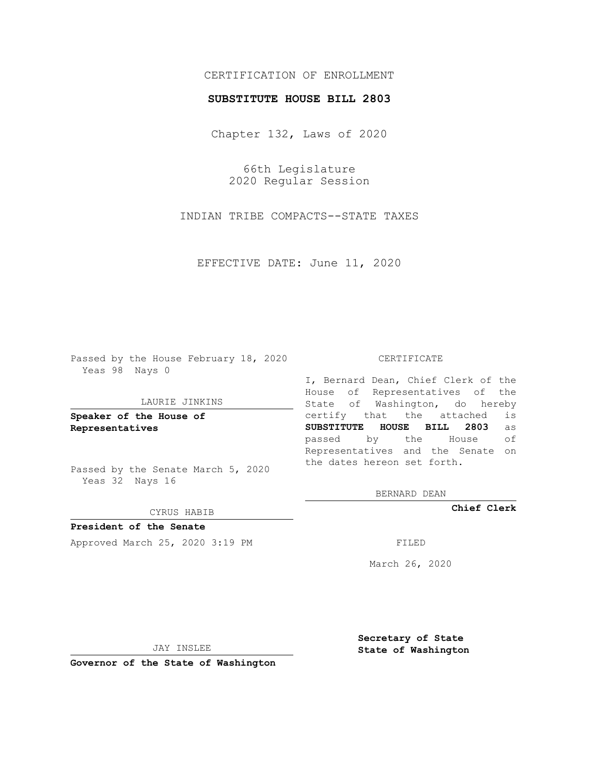# CERTIFICATION OF ENROLLMENT

### **SUBSTITUTE HOUSE BILL 2803**

Chapter 132, Laws of 2020

66th Legislature 2020 Regular Session

INDIAN TRIBE COMPACTS--STATE TAXES

EFFECTIVE DATE: June 11, 2020

Passed by the House February 18, 2020 Yeas 98 Nays 0

### LAURIE JINKINS

**Speaker of the House of Representatives**

Passed by the Senate March 5, 2020 Yeas 32 Nays 16

#### CYRUS HABIB

**President of the Senate** Approved March 25, 2020 3:19 PM

#### CERTIFICATE

I, Bernard Dean, Chief Clerk of the House of Representatives of the State of Washington, do hereby certify that the attached is **SUBSTITUTE HOUSE BILL 2803** as passed by the House of Representatives and the Senate on the dates hereon set forth.

BERNARD DEAN

**Chief Clerk**

March 26, 2020

JAY INSLEE

**Governor of the State of Washington**

**Secretary of State State of Washington**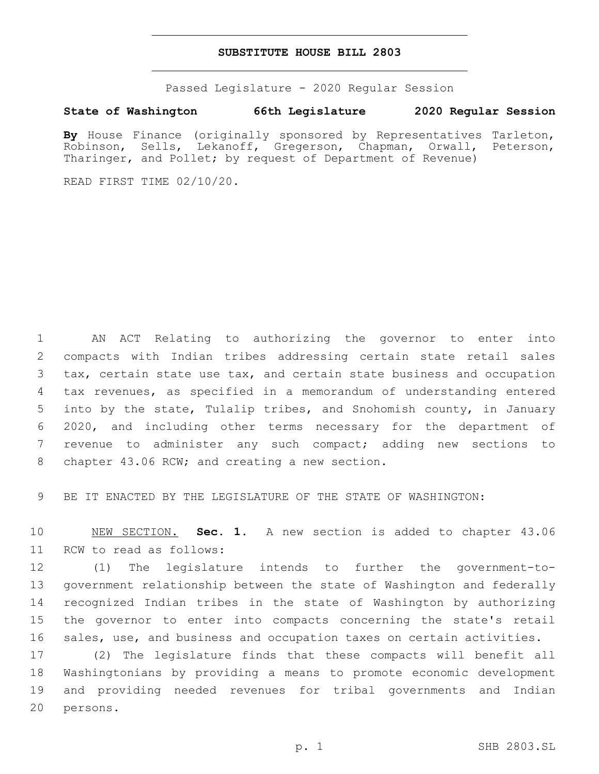## **SUBSTITUTE HOUSE BILL 2803**

Passed Legislature - 2020 Regular Session

## **State of Washington 66th Legislature 2020 Regular Session**

By House Finance (originally sponsored by Representatives Tarleton, Robinson, Sells, Lekanoff, Gregerson, Chapman, Orwall, Peterson, Tharinger, and Pollet; by request of Department of Revenue)

READ FIRST TIME 02/10/20.

 AN ACT Relating to authorizing the governor to enter into compacts with Indian tribes addressing certain state retail sales tax, certain state use tax, and certain state business and occupation tax revenues, as specified in a memorandum of understanding entered into by the state, Tulalip tribes, and Snohomish county, in January 2020, and including other terms necessary for the department of revenue to administer any such compact; adding new sections to 8 chapter 43.06 RCW; and creating a new section.

BE IT ENACTED BY THE LEGISLATURE OF THE STATE OF WASHINGTON:

 NEW SECTION. **Sec. 1.** A new section is added to chapter 43.06 11 RCW to read as follows:

 (1) The legislature intends to further the government-to- government relationship between the state of Washington and federally recognized Indian tribes in the state of Washington by authorizing the governor to enter into compacts concerning the state's retail sales, use, and business and occupation taxes on certain activities.

 (2) The legislature finds that these compacts will benefit all Washingtonians by providing a means to promote economic development and providing needed revenues for tribal governments and Indian 20 persons.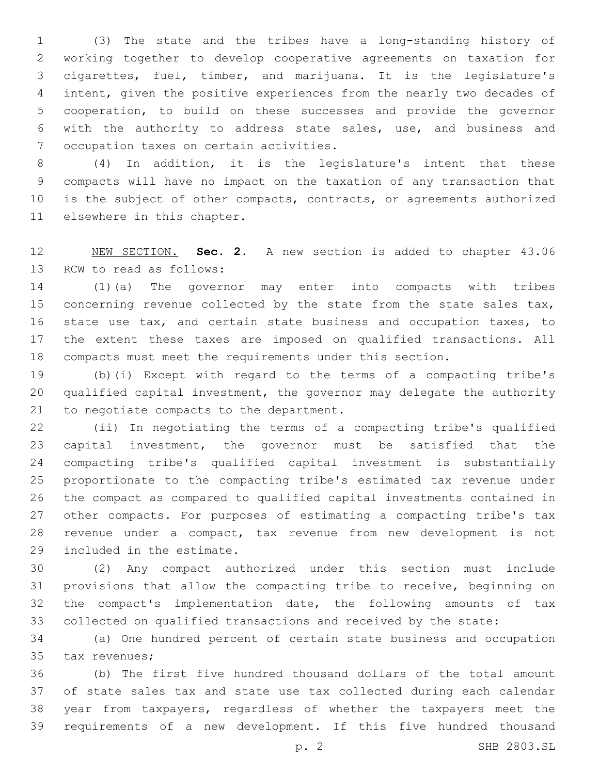(3) The state and the tribes have a long-standing history of working together to develop cooperative agreements on taxation for cigarettes, fuel, timber, and marijuana. It is the legislature's intent, given the positive experiences from the nearly two decades of cooperation, to build on these successes and provide the governor with the authority to address state sales, use, and business and 7 occupation taxes on certain activities.

 (4) In addition, it is the legislature's intent that these compacts will have no impact on the taxation of any transaction that is the subject of other compacts, contracts, or agreements authorized 11 elsewhere in this chapter.

 NEW SECTION. **Sec. 2.** A new section is added to chapter 43.06 13 RCW to read as follows:

 (1)(a) The governor may enter into compacts with tribes 15 concerning revenue collected by the state from the state sales tax, 16 state use tax, and certain state business and occupation taxes, to the extent these taxes are imposed on qualified transactions. All compacts must meet the requirements under this section.

 (b)(i) Except with regard to the terms of a compacting tribe's qualified capital investment, the governor may delegate the authority 21 to negotiate compacts to the department.

 (ii) In negotiating the terms of a compacting tribe's qualified capital investment, the governor must be satisfied that the compacting tribe's qualified capital investment is substantially proportionate to the compacting tribe's estimated tax revenue under the compact as compared to qualified capital investments contained in other compacts. For purposes of estimating a compacting tribe's tax revenue under a compact, tax revenue from new development is not 29 included in the estimate.

 (2) Any compact authorized under this section must include provisions that allow the compacting tribe to receive, beginning on the compact's implementation date, the following amounts of tax collected on qualified transactions and received by the state:

 (a) One hundred percent of certain state business and occupation 35 tax revenues;

 (b) The first five hundred thousand dollars of the total amount of state sales tax and state use tax collected during each calendar year from taxpayers, regardless of whether the taxpayers meet the requirements of a new development. If this five hundred thousand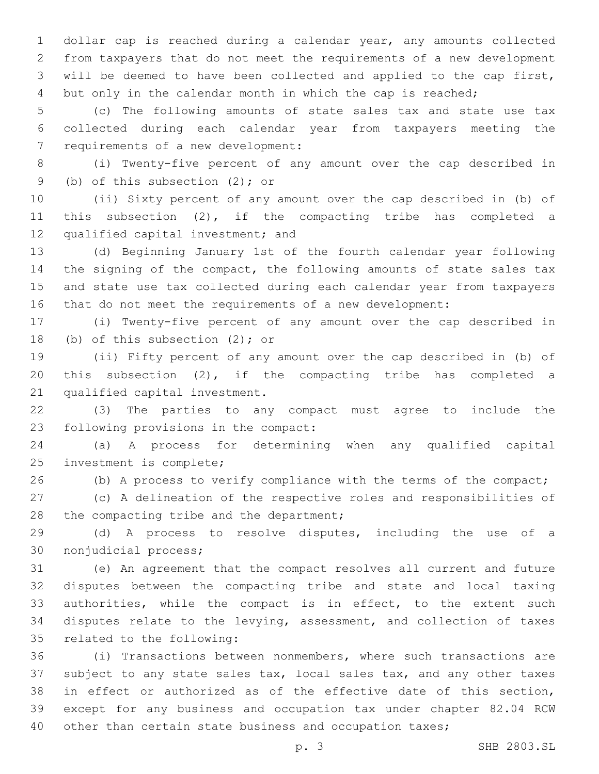dollar cap is reached during a calendar year, any amounts collected from taxpayers that do not meet the requirements of a new development will be deemed to have been collected and applied to the cap first, but only in the calendar month in which the cap is reached;

 (c) The following amounts of state sales tax and state use tax collected during each calendar year from taxpayers meeting the 7 requirements of a new development:

 (i) Twenty-five percent of any amount over the cap described in 9 (b) of this subsection (2); or

 (ii) Sixty percent of any amount over the cap described in (b) of this subsection (2), if the compacting tribe has completed a 12 qualified capital investment; and

 (d) Beginning January 1st of the fourth calendar year following 14 the signing of the compact, the following amounts of state sales tax and state use tax collected during each calendar year from taxpayers that do not meet the requirements of a new development:

 (i) Twenty-five percent of any amount over the cap described in 18 (b) of this subsection  $(2)$ ; or

 (ii) Fifty percent of any amount over the cap described in (b) of this subsection (2), if the compacting tribe has completed a 21 qualified capital investment.

 (3) The parties to any compact must agree to include the 23 following provisions in the compact:

 (a) A process for determining when any qualified capital 25 investment is complete;

26 (b) A process to verify compliance with the terms of the compact;

 (c) A delineation of the respective roles and responsibilities of 28 the compacting tribe and the department;

 (d) A process to resolve disputes, including the use of a 30 nonjudicial process;

 (e) An agreement that the compact resolves all current and future disputes between the compacting tribe and state and local taxing authorities, while the compact is in effect, to the extent such disputes relate to the levying, assessment, and collection of taxes 35 related to the following:

 (i) Transactions between nonmembers, where such transactions are subject to any state sales tax, local sales tax, and any other taxes in effect or authorized as of the effective date of this section, except for any business and occupation tax under chapter 82.04 RCW other than certain state business and occupation taxes;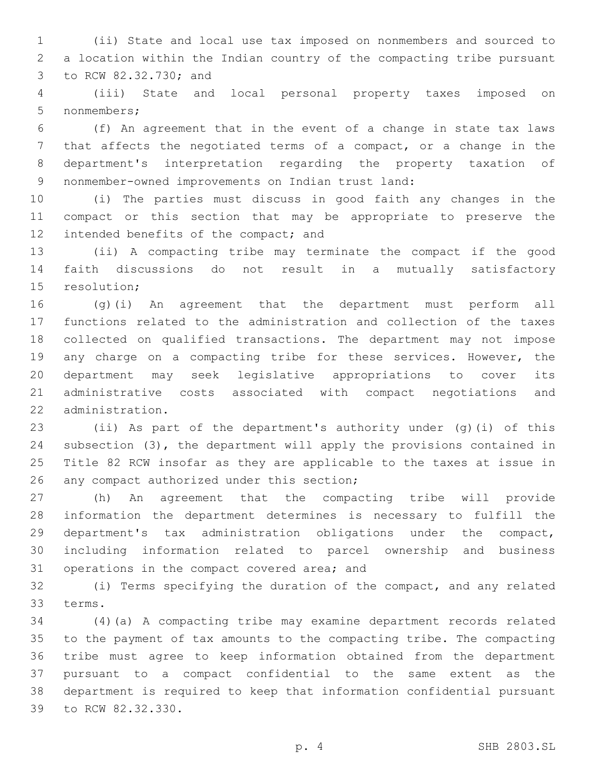(ii) State and local use tax imposed on nonmembers and sourced to a location within the Indian country of the compacting tribe pursuant 3 to RCW 82.32.730; and

 (iii) State and local personal property taxes imposed on 5 nonmembers;

 (f) An agreement that in the event of a change in state tax laws that affects the negotiated terms of a compact, or a change in the department's interpretation regarding the property taxation of 9 nonmember-owned improvements on Indian trust land:

 (i) The parties must discuss in good faith any changes in the compact or this section that may be appropriate to preserve the 12 intended benefits of the compact; and

 (ii) A compacting tribe may terminate the compact if the good faith discussions do not result in a mutually satisfactory 15 resolution;

 (g)(i) An agreement that the department must perform all functions related to the administration and collection of the taxes collected on qualified transactions. The department may not impose 19 any charge on a compacting tribe for these services. However, the department may seek legislative appropriations to cover its administrative costs associated with compact negotiations and 22 administration.

 (ii) As part of the department's authority under (g)(i) of this subsection (3), the department will apply the provisions contained in Title 82 RCW insofar as they are applicable to the taxes at issue in 26 any compact authorized under this section;

 (h) An agreement that the compacting tribe will provide information the department determines is necessary to fulfill the department's tax administration obligations under the compact, including information related to parcel ownership and business 31 operations in the compact covered area; and

 (i) Terms specifying the duration of the compact, and any related 33 terms.

 (4)(a) A compacting tribe may examine department records related to the payment of tax amounts to the compacting tribe. The compacting tribe must agree to keep information obtained from the department pursuant to a compact confidential to the same extent as the department is required to keep that information confidential pursuant 39 to RCW 82.32.330.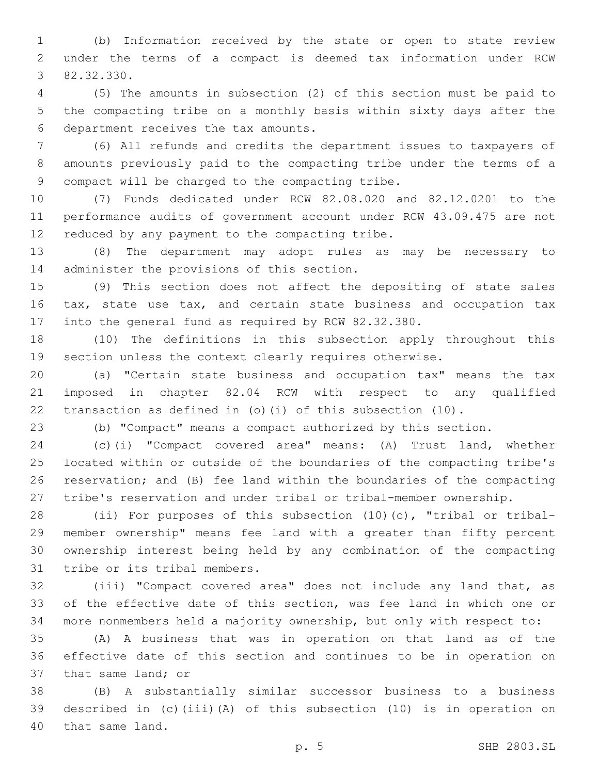(b) Information received by the state or open to state review under the terms of a compact is deemed tax information under RCW 82.32.330.3

 (5) The amounts in subsection (2) of this section must be paid to the compacting tribe on a monthly basis within sixty days after the department receives the tax amounts.6

 (6) All refunds and credits the department issues to taxpayers of amounts previously paid to the compacting tribe under the terms of a 9 compact will be charged to the compacting tribe.

 (7) Funds dedicated under RCW 82.08.020 and 82.12.0201 to the performance audits of government account under RCW 43.09.475 are not 12 reduced by any payment to the compacting tribe.

 (8) The department may adopt rules as may be necessary to 14 administer the provisions of this section.

 (9) This section does not affect the depositing of state sales 16 tax, state use tax, and certain state business and occupation tax into the general fund as required by RCW 82.32.380.

 (10) The definitions in this subsection apply throughout this section unless the context clearly requires otherwise.

 (a) "Certain state business and occupation tax" means the tax imposed in chapter 82.04 RCW with respect to any qualified transaction as defined in (o)(i) of this subsection (10).

(b) "Compact" means a compact authorized by this section.

 (c)(i) "Compact covered area" means: (A) Trust land, whether located within or outside of the boundaries of the compacting tribe's reservation; and (B) fee land within the boundaries of the compacting tribe's reservation and under tribal or tribal-member ownership.

 (ii) For purposes of this subsection (10)(c), "tribal or tribal- member ownership" means fee land with a greater than fifty percent ownership interest being held by any combination of the compacting 31 tribe or its tribal members.

 (iii) "Compact covered area" does not include any land that, as of the effective date of this section, was fee land in which one or more nonmembers held a majority ownership, but only with respect to:

 (A) A business that was in operation on that land as of the effective date of this section and continues to be in operation on 37 that same land; or

 (B) A substantially similar successor business to a business described in (c)(iii)(A) of this subsection (10) is in operation on 40 that same land.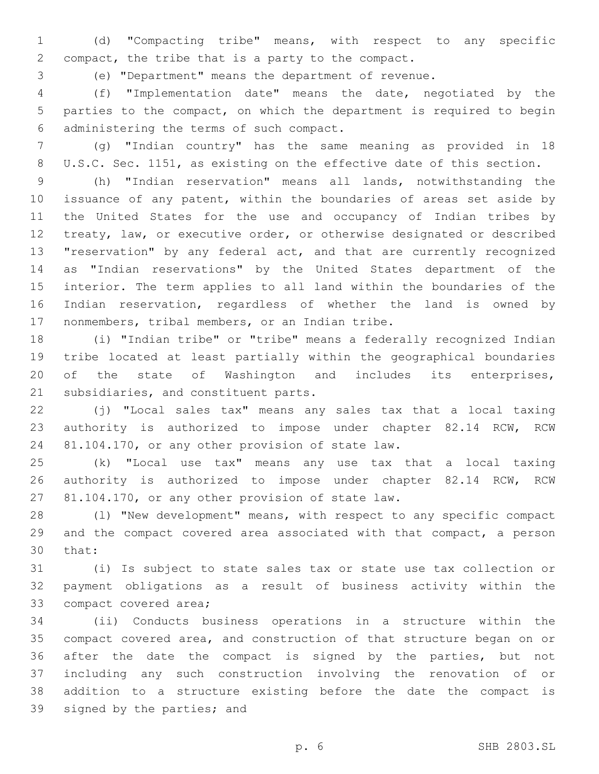(d) "Compacting tribe" means, with respect to any specific 2 compact, the tribe that is a party to the compact.

(e) "Department" means the department of revenue.

 (f) "Implementation date" means the date, negotiated by the parties to the compact, on which the department is required to begin administering the terms of such compact.6

 (g) "Indian country" has the same meaning as provided in 18 U.S.C. Sec. 1151, as existing on the effective date of this section.

 (h) "Indian reservation" means all lands, notwithstanding the issuance of any patent, within the boundaries of areas set aside by the United States for the use and occupancy of Indian tribes by treaty, law, or executive order, or otherwise designated or described "reservation" by any federal act, and that are currently recognized as "Indian reservations" by the United States department of the interior. The term applies to all land within the boundaries of the Indian reservation, regardless of whether the land is owned by 17 nonmembers, tribal members, or an Indian tribe.

 (i) "Indian tribe" or "tribe" means a federally recognized Indian tribe located at least partially within the geographical boundaries of the state of Washington and includes its enterprises, 21 subsidiaries, and constituent parts.

 (j) "Local sales tax" means any sales tax that a local taxing authority is authorized to impose under chapter 82.14 RCW, RCW 24 81.104.170, or any other provision of state law.

 (k) "Local use tax" means any use tax that a local taxing authority is authorized to impose under chapter 82.14 RCW, RCW 27 81.104.170, or any other provision of state law.

 (l) "New development" means, with respect to any specific compact and the compact covered area associated with that compact, a person 30 that:

 (i) Is subject to state sales tax or state use tax collection or payment obligations as a result of business activity within the 33 compact covered area;

 (ii) Conducts business operations in a structure within the compact covered area, and construction of that structure began on or after the date the compact is signed by the parties, but not including any such construction involving the renovation of or addition to a structure existing before the date the compact is 39 signed by the parties; and